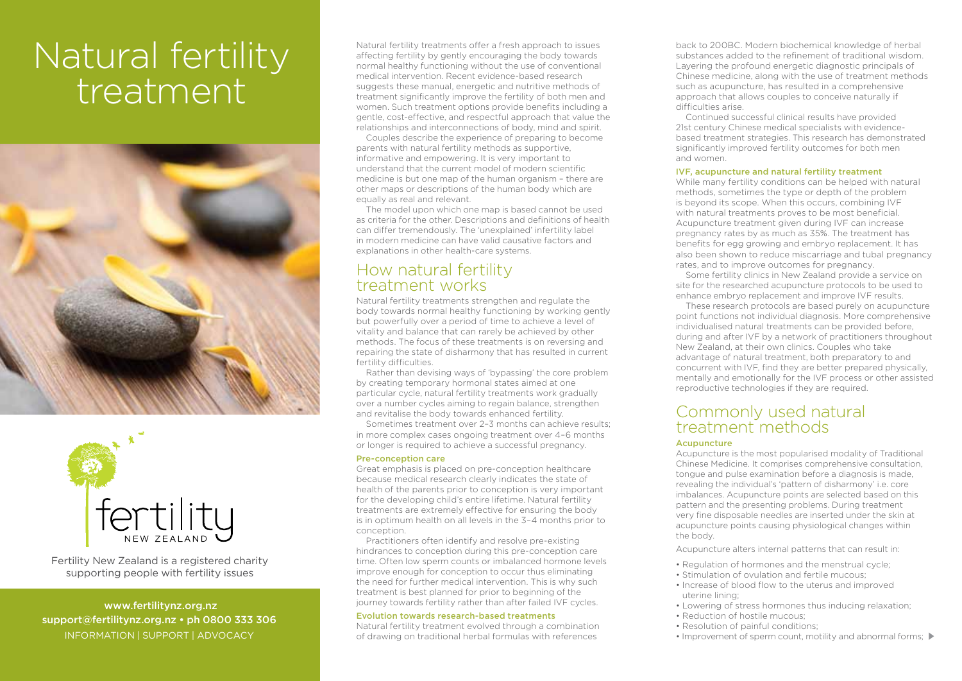# Natural fertility treatment





Fertility New Zealand is a registered charity supporting people with fertility issues

 www.fertilitynz.org.nz support@fertilitynz.org.nz • ph 0800 333 306 information | support | advocacy

Natural fertility treatments offer a fresh approach to issues affecting fertility by gently encouraging the body towards normal healthy functioning without the use of conventional medical intervention. Recent evidence-based research suggests these manual, energetic and nutritive methods of treatment significantly improve the fertility of both men and women. Such treatment options provide benefits including a gentle, cost-effective, and respectful approach that value the relationships and interconnections of body, mind and spirit.

Couples describe the experience of preparing to become parents with natural fertility methods as supportive, informative and empowering. It is very important to understand that the current model of modern scientific medicine is but one map of the human organism – there are other maps or descriptions of the human body which are equally as real and relevant.

The model upon which one map is based cannot be used as criteria for the other. Descriptions and definitions of health can differ tremendously. The 'unexplained' infertility label in modern medicine can have valid causative factors and explanations in other health-care systems.

# How natural fertility treatment works

Natural fertility treatments strengthen and regulate the body towards normal healthy functioning by working gently but powerfully over a period of time to achieve a level of vitality and balance that can rarely be achieved by other methods. The focus of these treatments is on reversing and repairing the state of disharmony that has resulted in current fertility difficulties.

Rather than devising ways of 'bypassing' the core problem by creating temporary hormonal states aimed at one particular cycle, natural fertility treatments work gradually over a number cycles aiming to regain balance, strengthen and revitalise the body towards enhanced fertility.

Sometimes treatment over 2–3 months can achieve results; in more complex cases ongoing treatment over 4–6 months or longer is required to achieve a successful pregnancy.

#### Pre-conception care

Great emphasis is placed on pre-conception healthcare because medical research clearly indicates the state of health of the parents prior to conception is very important for the developing child's entire lifetime. Natural fertility treatments are extremely effective for ensuring the body is in optimum health on all levels in the 3–4 months prior to conception.

Practitioners often identify and resolve pre-existing hindrances to conception during this pre-conception care time. Often low sperm counts or imbalanced hormone levels improve enough for conception to occur thus eliminating the need for further medical intervention. This is why such treatment is best planned for prior to beginning of the journey towards fertility rather than after failed IVF cycles.

#### Evolution towards research-based treatments

Natural fertility treatment evolved through a combination of drawing on traditional herbal formulas with references

back to 200BC. Modern biochemical knowledge of herbal substances added to the refinement of traditional wisdom. Layering the profound energetic diagnostic principals of Chinese medicine, along with the use of treatment methods such as acupuncture, has resulted in a comprehensive approach that allows couples to conceive naturally if difficulties arise.

Continued successful clinical results have provided 21st century Chinese medical specialists with evidencebased treatment strategies. This research has demonstrated significantly improved fertility outcomes for both men and women.

#### IVF, acupuncture and natural fertility treatment

While many fertility conditions can be helped with natural methods, sometimes the type or depth of the problem is beyond its scope. When this occurs, combining IVF with natural treatments proves to be most beneficial. Acupuncture treatment given during IVF can increase pregnancy rates by as much as 35%. The treatment has benefits for egg growing and embryo replacement. It has also been shown to reduce miscarriage and tubal pregnancy rates, and to improve outcomes for pregnancy.

Some fertility clinics in New Zealand provide a service on site for the researched acupuncture protocols to be used to enhance embryo replacement and improve IVF results.

These research protocols are based purely on acupuncture point functions not individual diagnosis. More comprehensive individualised natural treatments can be provided before, during and after IVF by a network of practitioners throughout New Zealand, at their own clinics. Couples who take advantage of natural treatment, both preparatory to and concurrent with IVF, find they are better prepared physically mentally and emotionally for the IVF process or other assisted reproductive technologies if they are required.

## Commonly used natural treatment methods

#### Acupuncture

Acupuncture is the most popularised modality of Traditional Chinese Medicine. It comprises comprehensive consultation, tongue and pulse examination before a diagnosis is made, revealing the individual's 'pattern of disharmony' i.e. core imbalances. Acupuncture points are selected based on this pattern and the presenting problems. During treatment very fine disposable needles are inserted under the skin at acupuncture points causing physiological changes within the body.

Acupuncture alters internal patterns that can result in:

- Regulation of hormones and the menstrual cycle;
- Stimulation of ovulation and fertile mucous;
- Increase of blood flow to the uterus and improved uterine lining;
- Lowering of stress hormones thus inducing relaxation;
- Reduction of hostile mucous;
- Resolution of painful conditions;
- Improvement of sperm count, motility and abnormal forms;  $\blacktriangleright$